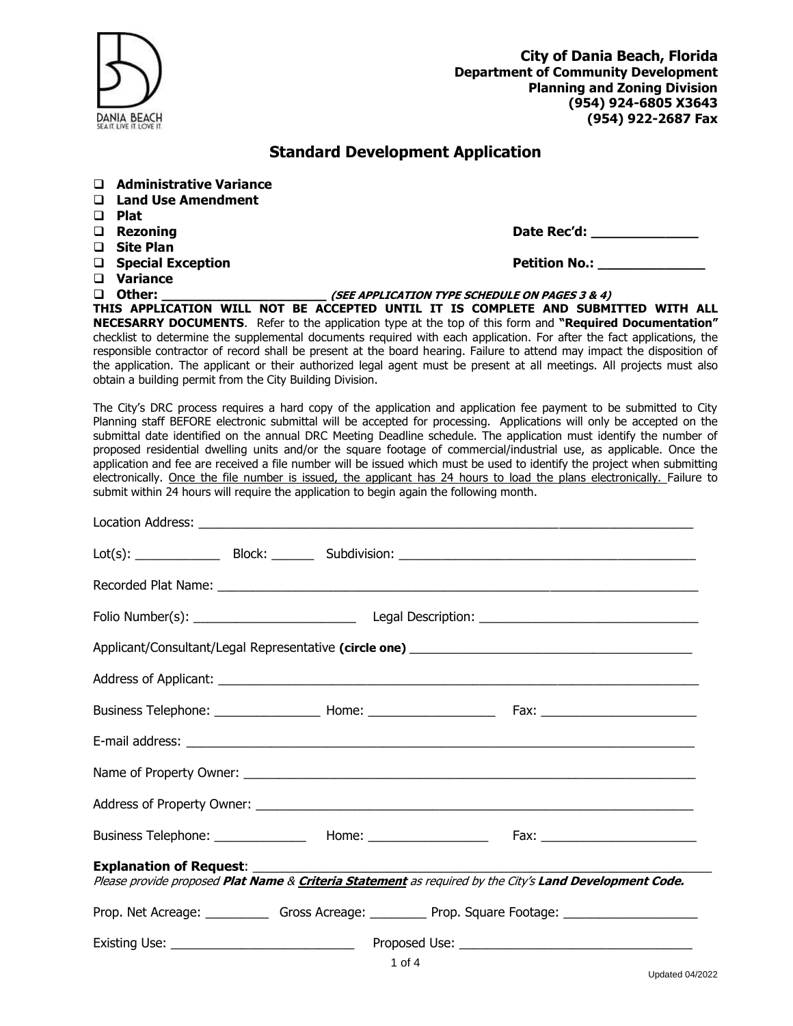| DANIA BEACH                       |                                                                                                                                                                                                                                                                                                                                                                                                                                                                                                                                                                                                                                          | <b>City of Dania Beach, Florida</b><br><b>Department of Community Development</b><br><b>Planning and Zoning Division</b><br>(954) 924-6805 X3643<br>(954) 922-2687 Fax |
|-----------------------------------|------------------------------------------------------------------------------------------------------------------------------------------------------------------------------------------------------------------------------------------------------------------------------------------------------------------------------------------------------------------------------------------------------------------------------------------------------------------------------------------------------------------------------------------------------------------------------------------------------------------------------------------|------------------------------------------------------------------------------------------------------------------------------------------------------------------------|
|                                   | <b>Standard Development Application</b>                                                                                                                                                                                                                                                                                                                                                                                                                                                                                                                                                                                                  |                                                                                                                                                                        |
|                                   | □ Administrative Variance<br>□ Land Use Amendment                                                                                                                                                                                                                                                                                                                                                                                                                                                                                                                                                                                        |                                                                                                                                                                        |
| $\square$ Plat<br>$\Box$ Rezoning |                                                                                                                                                                                                                                                                                                                                                                                                                                                                                                                                                                                                                                          |                                                                                                                                                                        |
| □ Site Plan                       |                                                                                                                                                                                                                                                                                                                                                                                                                                                                                                                                                                                                                                          |                                                                                                                                                                        |
|                                   | □ Special Exception                                                                                                                                                                                                                                                                                                                                                                                                                                                                                                                                                                                                                      | <b>Petition No.:</b>                                                                                                                                                   |
| $\Box$ Variance                   |                                                                                                                                                                                                                                                                                                                                                                                                                                                                                                                                                                                                                                          |                                                                                                                                                                        |
| $\square$ Other:                  | (SEE APPLICATION TYPE SCHEDULE ON PAGES 3 & 4)                                                                                                                                                                                                                                                                                                                                                                                                                                                                                                                                                                                           |                                                                                                                                                                        |
|                                   | THIS APPLICATION WILL NOT BE ACCEPTED UNTIL IT IS COMPLETE AND SUBMITTED WITH ALL<br>NECESARRY DOCUMENTS. Refer to the application type at the top of this form and "Required Documentation"<br>checklist to determine the supplemental documents required with each application. For after the fact applications, the<br>responsible contractor of record shall be present at the board hearing. Failure to attend may impact the disposition of<br>the application. The applicant or their authorized legal agent must be present at all meetings. All projects must also<br>obtain a building permit from the City Building Division. |                                                                                                                                                                        |
|                                   | The City's DRC process requires a hard copy of the application and application fee payment to be submitted to City<br>Planning staff BEFORE electronic submittal will be accepted for processing. Applications will only be accepted on the<br>submittal date identified on the annual DRC Meeting Deadline schedule. The application must identify the number of<br>proposed residential dwelling units and/or the square footage of commercial/industrial use, as applicable. Once the<br>application and fee are received a file number will be issued which must be used to identify the project when submitting                     |                                                                                                                                                                        |

electronically. <u>Once the file number is issued, the applicant has 24 hours to load the plans electronically. Failure to</u>

submit within 24 hours will require the application to begin again the following month.

| Please provide proposed Plat Name & Criteria Statement as required by the City's Land Development Code.    |  |        |  |  |
|------------------------------------------------------------------------------------------------------------|--|--------|--|--|
| Prop. Net Acreage: _______________ Gross Acreage: ____________ Prop. Square Footage: _____________________ |  |        |  |  |
|                                                                                                            |  |        |  |  |
|                                                                                                            |  | 1 of 4 |  |  |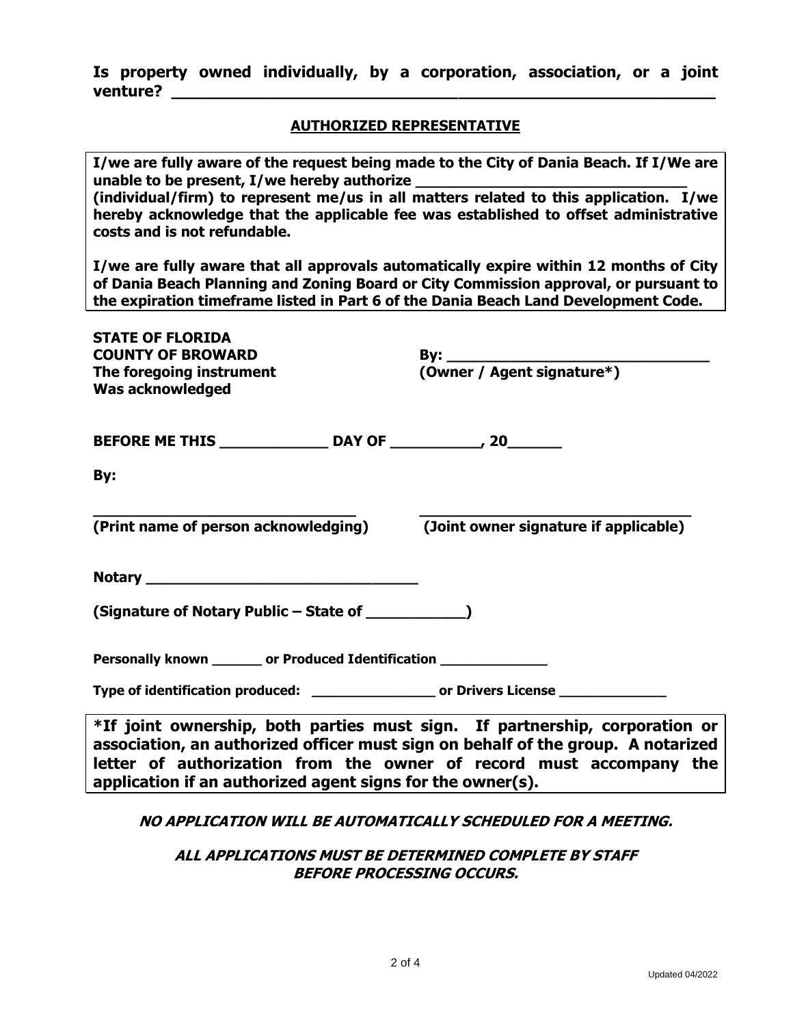|          |  |  | Is property owned individually, by a corporation, association, or a joint |  |  |
|----------|--|--|---------------------------------------------------------------------------|--|--|
| venture? |  |  |                                                                           |  |  |

# **AUTHORIZED REPRESENTATIVE**

| I/we are fully aware of the request being made to the City of Dania Beach. If I/We are<br>(individual/firm) to represent me/us in all matters related to this application. I/we<br>hereby acknowledge that the applicable fee was established to offset administrative<br>costs and is not refundable. |                                       |  |  |  |
|--------------------------------------------------------------------------------------------------------------------------------------------------------------------------------------------------------------------------------------------------------------------------------------------------------|---------------------------------------|--|--|--|
| I/we are fully aware that all approvals automatically expire within 12 months of City<br>of Dania Beach Planning and Zoning Board or City Commission approval, or pursuant to<br>the expiration timeframe listed in Part 6 of the Dania Beach Land Development Code.                                   |                                       |  |  |  |
| <b>STATE OF FLORIDA</b><br><b>COUNTY OF BROWARD</b><br>The foregoing instrument<br><b>Was acknowledged</b>                                                                                                                                                                                             |                                       |  |  |  |
|                                                                                                                                                                                                                                                                                                        |                                       |  |  |  |
| By:                                                                                                                                                                                                                                                                                                    |                                       |  |  |  |
| (Print name of person acknowledging)                                                                                                                                                                                                                                                                   | (Joint owner signature if applicable) |  |  |  |
|                                                                                                                                                                                                                                                                                                        |                                       |  |  |  |
| (Signature of Notary Public - State of                                                                                                                                                                                                                                                                 |                                       |  |  |  |
| Personally known ______ or Produced Identification _______                                                                                                                                                                                                                                             |                                       |  |  |  |
| Type of identification produced: _____________________ or Drivers License ____________                                                                                                                                                                                                                 |                                       |  |  |  |
| *If joint ownership, both parties must sign. If partnership, corporation or<br>association, an authorized officer must sign on behalf of the group. A notarized<br>letter of authorization from the owner of record must accompany the<br>application if an authorized agent signs for the owner(s).   |                                       |  |  |  |

## **NO APPLICATION WILL BE AUTOMATICALLY SCHEDULED FOR A MEETING.**

# **ALL APPLICATIONS MUST BE DETERMINED COMPLETE BY STAFF BEFORE PROCESSING OCCURS.**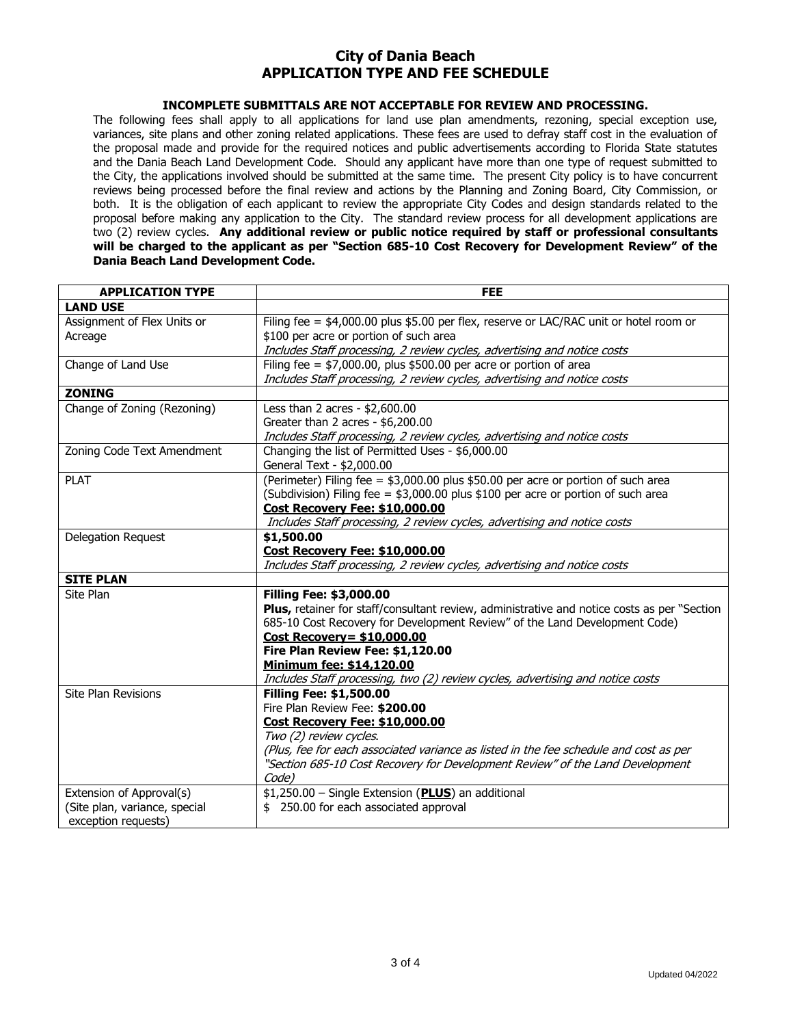### **City of Dania Beach APPLICATION TYPE AND FEE SCHEDULE**

#### **INCOMPLETE SUBMITTALS ARE NOT ACCEPTABLE FOR REVIEW AND PROCESSING.**

The following fees shall apply to all applications for land use plan amendments, rezoning, special exception use, variances, site plans and other zoning related applications. These fees are used to defray staff cost in the evaluation of the proposal made and provide for the required notices and public advertisements according to Florida State statutes and the Dania Beach Land Development Code. Should any applicant have more than one type of request submitted to the City, the applications involved should be submitted at the same time. The present City policy is to have concurrent reviews being processed before the final review and actions by the Planning and Zoning Board, City Commission, or both. It is the obligation of each applicant to review the appropriate City Codes and design standards related to the proposal before making any application to the City. The standard review process for all development applications are two (2) review cycles. **Any additional review or public notice required by staff or professional consultants will be charged to the applicant as per "Section 685-10 Cost Recovery for Development Review" of the Dania Beach Land Development Code.** 

| <b>APPLICATION TYPE</b>       | <b>FEE</b>                                                                                  |  |  |
|-------------------------------|---------------------------------------------------------------------------------------------|--|--|
| <b>LAND USE</b>               |                                                                                             |  |  |
| Assignment of Flex Units or   | Filing fee = $$4,000.00$ plus \$5.00 per flex, reserve or LAC/RAC unit or hotel room or     |  |  |
| Acreage                       | \$100 per acre or portion of such area                                                      |  |  |
|                               | Includes Staff processing, 2 review cycles, advertising and notice costs                    |  |  |
| Change of Land Use            | Filing fee = $$7,000.00$ , plus \$500.00 per acre or portion of area                        |  |  |
|                               | Includes Staff processing, 2 review cycles, advertising and notice costs                    |  |  |
| <b>ZONING</b>                 |                                                                                             |  |  |
| Change of Zoning (Rezoning)   | Less than 2 acres - $$2,600.00$                                                             |  |  |
|                               | Greater than 2 acres - \$6,200.00                                                           |  |  |
|                               | Includes Staff processing, 2 review cycles, advertising and notice costs                    |  |  |
| Zoning Code Text Amendment    | Changing the list of Permitted Uses - \$6,000.00                                            |  |  |
|                               | General Text - \$2,000.00                                                                   |  |  |
| <b>PLAT</b>                   | (Perimeter) Filing fee = \$3,000.00 plus \$50.00 per acre or portion of such area           |  |  |
|                               | (Subdivision) Filing fee = $$3,000.00$ plus \$100 per acre or portion of such area          |  |  |
|                               | Cost Recovery Fee: \$10,000.00                                                              |  |  |
|                               | Includes Staff processing, 2 review cycles, advertising and notice costs                    |  |  |
| Delegation Request            | \$1,500.00                                                                                  |  |  |
|                               | Cost Recovery Fee: \$10,000.00                                                              |  |  |
|                               | Includes Staff processing, 2 review cycles, advertising and notice costs                    |  |  |
| <b>SITE PLAN</b>              |                                                                                             |  |  |
| Site Plan                     | <b>Filling Fee: \$3,000.00</b>                                                              |  |  |
|                               | Plus, retainer for staff/consultant review, administrative and notice costs as per "Section |  |  |
|                               | 685-10 Cost Recovery for Development Review" of the Land Development Code)                  |  |  |
|                               | Cost Recovery= $$10,000.00$                                                                 |  |  |
|                               | Fire Plan Review Fee: \$1,120.00                                                            |  |  |
|                               | Minimum fee: \$14,120.00                                                                    |  |  |
|                               | Includes Staff processing, two (2) review cycles, advertising and notice costs              |  |  |
| <b>Site Plan Revisions</b>    | <b>Filling Fee: \$1,500.00</b>                                                              |  |  |
|                               | Fire Plan Review Fee: \$200.00                                                              |  |  |
|                               | Cost Recovery Fee: \$10,000.00                                                              |  |  |
|                               | Two (2) review cycles.                                                                      |  |  |
|                               | (Plus, fee for each associated variance as listed in the fee schedule and cost as per       |  |  |
|                               | "Section 685-10 Cost Recovery for Development Review" of the Land Development               |  |  |
|                               | Code)                                                                                       |  |  |
| Extension of Approval(s)      | \$1,250.00 - Single Extension (PLUS) an additional                                          |  |  |
| (Site plan, variance, special | \$ 250.00 for each associated approval                                                      |  |  |
| exception requests)           |                                                                                             |  |  |